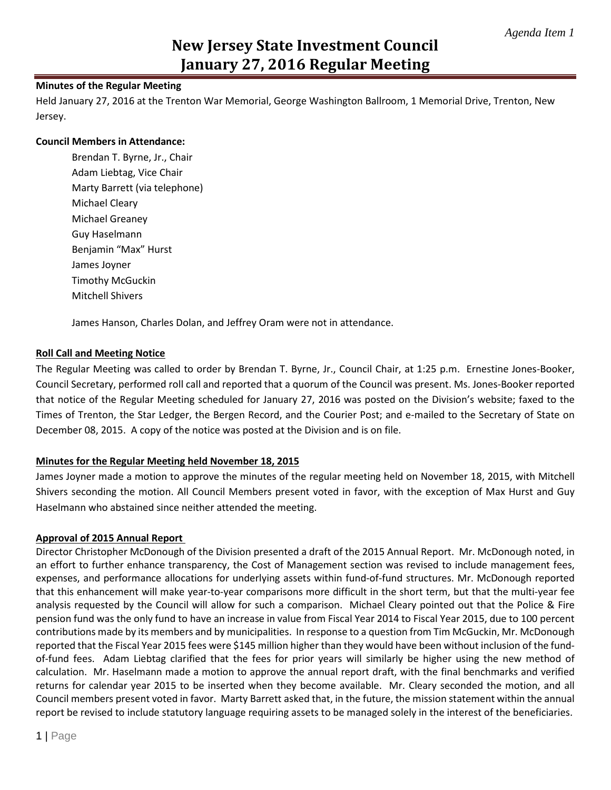## **New Jersey State Investment Council January 27, 2016 Regular Meeting**

## **Minutes of the Regular Meeting**

Held January 27, 2016 at the Trenton War Memorial, George Washington Ballroom, 1 Memorial Drive, Trenton, New Jersey.

## **Council Members in Attendance:**

Brendan T. Byrne, Jr., Chair Adam Liebtag, Vice Chair Marty Barrett (via telephone) Michael Cleary Michael Greaney Guy Haselmann Benjamin "Max" Hurst James Joyner Timothy McGuckin Mitchell Shivers

James Hanson, Charles Dolan, and Jeffrey Oram were not in attendance.

## **Roll Call and Meeting Notice**

The Regular Meeting was called to order by Brendan T. Byrne, Jr., Council Chair, at 1:25 p.m. Ernestine Jones-Booker, Council Secretary, performed roll call and reported that a quorum of the Council was present. Ms. Jones-Booker reported that notice of the Regular Meeting scheduled for January 27, 2016 was posted on the Division's website; faxed to the Times of Trenton, the Star Ledger, the Bergen Record, and the Courier Post; and e-mailed to the Secretary of State on December 08, 2015. A copy of the notice was posted at the Division and is on file.

## **Minutes for the Regular Meeting held November 18, 2015**

James Joyner made a motion to approve the minutes of the regular meeting held on November 18, 2015, with Mitchell Shivers seconding the motion. All Council Members present voted in favor, with the exception of Max Hurst and Guy Haselmann who abstained since neither attended the meeting.

## **Approval of 2015 Annual Report**

Director Christopher McDonough of the Division presented a draft of the 2015 Annual Report. Mr. McDonough noted, in an effort to further enhance transparency, the Cost of Management section was revised to include management fees, expenses, and performance allocations for underlying assets within fund-of-fund structures. Mr. McDonough reported that this enhancement will make year-to-year comparisons more difficult in the short term, but that the multi-year fee analysis requested by the Council will allow for such a comparison. Michael Cleary pointed out that the Police & Fire pension fund was the only fund to have an increase in value from Fiscal Year 2014 to Fiscal Year 2015, due to 100 percent contributions made by its members and by municipalities. In response to a question from Tim McGuckin, Mr. McDonough reported that the Fiscal Year 2015 fees were \$145 million higher than they would have been without inclusion of the fundof-fund fees. Adam Liebtag clarified that the fees for prior years will similarly be higher using the new method of calculation. Mr. Haselmann made a motion to approve the annual report draft, with the final benchmarks and verified returns for calendar year 2015 to be inserted when they become available. Mr. Cleary seconded the motion, and all Council members present voted in favor. Marty Barrett asked that, in the future, the mission statement within the annual report be revised to include statutory language requiring assets to be managed solely in the interest of the beneficiaries.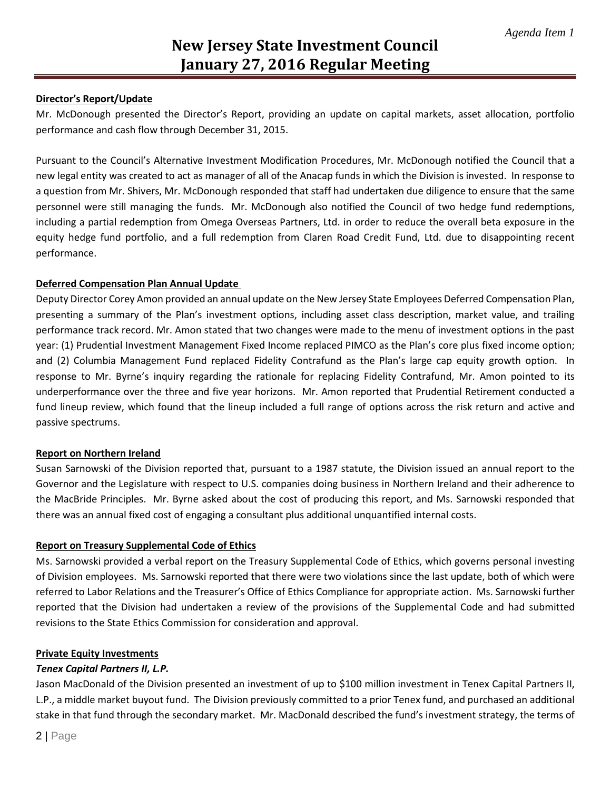## **Director's Report/Update**

Mr. McDonough presented the Director's Report, providing an update on capital markets, asset allocation, portfolio performance and cash flow through December 31, 2015.

Pursuant to the Council's Alternative Investment Modification Procedures, Mr. McDonough notified the Council that a new legal entity was created to act as manager of all of the Anacap funds in which the Division is invested. In response to a question from Mr. Shivers, Mr. McDonough responded that staff had undertaken due diligence to ensure that the same personnel were still managing the funds. Mr. McDonough also notified the Council of two hedge fund redemptions, including a partial redemption from Omega Overseas Partners, Ltd. in order to reduce the overall beta exposure in the equity hedge fund portfolio, and a full redemption from Claren Road Credit Fund, Ltd. due to disappointing recent performance.

## **Deferred Compensation Plan Annual Update**

Deputy Director Corey Amon provided an annual update on the New Jersey State Employees Deferred Compensation Plan, presenting a summary of the Plan's investment options, including asset class description, market value, and trailing performance track record. Mr. Amon stated that two changes were made to the menu of investment options in the past year: (1) Prudential Investment Management Fixed Income replaced PIMCO as the Plan's core plus fixed income option; and (2) Columbia Management Fund replaced Fidelity Contrafund as the Plan's large cap equity growth option. In response to Mr. Byrne's inquiry regarding the rationale for replacing Fidelity Contrafund, Mr. Amon pointed to its underperformance over the three and five year horizons. Mr. Amon reported that Prudential Retirement conducted a fund lineup review, which found that the lineup included a full range of options across the risk return and active and passive spectrums.

## **Report on Northern Ireland**

Susan Sarnowski of the Division reported that, pursuant to a 1987 statute, the Division issued an annual report to the Governor and the Legislature with respect to U.S. companies doing business in Northern Ireland and their adherence to the MacBride Principles. Mr. Byrne asked about the cost of producing this report, and Ms. Sarnowski responded that there was an annual fixed cost of engaging a consultant plus additional unquantified internal costs.

## **Report on Treasury Supplemental Code of Ethics**

Ms. Sarnowski provided a verbal report on the Treasury Supplemental Code of Ethics, which governs personal investing of Division employees. Ms. Sarnowski reported that there were two violations since the last update, both of which were referred to Labor Relations and the Treasurer's Office of Ethics Compliance for appropriate action. Ms. Sarnowski further reported that the Division had undertaken a review of the provisions of the Supplemental Code and had submitted revisions to the State Ethics Commission for consideration and approval.

## **Private Equity Investments**

## *Tenex Capital Partners II, L.P.*

Jason MacDonald of the Division presented an investment of up to \$100 million investment in Tenex Capital Partners II, L.P., a middle market buyout fund. The Division previously committed to a prior Tenex fund, and purchased an additional stake in that fund through the secondary market. Mr. MacDonald described the fund's investment strategy, the terms of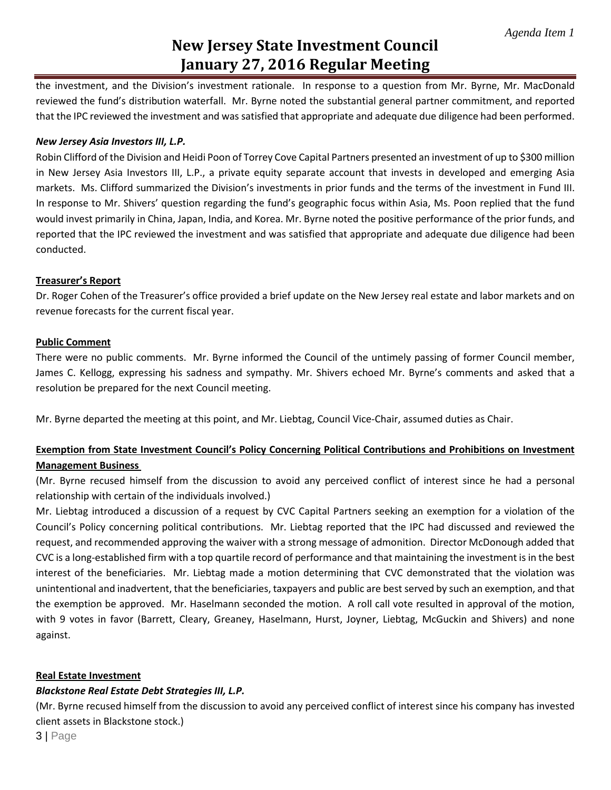## **New Jersey State Investment Council January 27, 2016 Regular Meeting**

the investment, and the Division's investment rationale. In response to a question from Mr. Byrne, Mr. MacDonald reviewed the fund's distribution waterfall. Mr. Byrne noted the substantial general partner commitment, and reported that the IPC reviewed the investment and was satisfied that appropriate and adequate due diligence had been performed.

#### *New Jersey Asia Investors III, L.P.*

Robin Clifford of the Division and Heidi Poon of Torrey Cove Capital Partners presented an investment of up to \$300 million in New Jersey Asia Investors III, L.P., a private equity separate account that invests in developed and emerging Asia markets. Ms. Clifford summarized the Division's investments in prior funds and the terms of the investment in Fund III. In response to Mr. Shivers' question regarding the fund's geographic focus within Asia, Ms. Poon replied that the fund would invest primarily in China, Japan, India, and Korea. Mr. Byrne noted the positive performance of the prior funds, and reported that the IPC reviewed the investment and was satisfied that appropriate and adequate due diligence had been conducted.

#### **Treasurer's Report**

Dr. Roger Cohen of the Treasurer's office provided a brief update on the New Jersey real estate and labor markets and on revenue forecasts for the current fiscal year.

#### **Public Comment**

There were no public comments. Mr. Byrne informed the Council of the untimely passing of former Council member, James C. Kellogg, expressing his sadness and sympathy. Mr. Shivers echoed Mr. Byrne's comments and asked that a resolution be prepared for the next Council meeting.

Mr. Byrne departed the meeting at this point, and Mr. Liebtag, Council Vice-Chair, assumed duties as Chair.

## **Exemption from State Investment Council's Policy Concerning Political Contributions and Prohibitions on Investment Management Business**

(Mr. Byrne recused himself from the discussion to avoid any perceived conflict of interest since he had a personal relationship with certain of the individuals involved.)

Mr. Liebtag introduced a discussion of a request by CVC Capital Partners seeking an exemption for a violation of the Council's Policy concerning political contributions. Mr. Liebtag reported that the IPC had discussed and reviewed the request, and recommended approving the waiver with a strong message of admonition. Director McDonough added that CVC is a long-established firm with a top quartile record of performance and that maintaining the investment is in the best interest of the beneficiaries. Mr. Liebtag made a motion determining that CVC demonstrated that the violation was unintentional and inadvertent, that the beneficiaries, taxpayers and public are best served by such an exemption, and that the exemption be approved. Mr. Haselmann seconded the motion. A roll call vote resulted in approval of the motion, with 9 votes in favor (Barrett, Cleary, Greaney, Haselmann, Hurst, Joyner, Liebtag, McGuckin and Shivers) and none against.

## **Real Estate Investment**

## *Blackstone Real Estate Debt Strategies III, L.P.*

(Mr. Byrne recused himself from the discussion to avoid any perceived conflict of interest since his company has invested client assets in Blackstone stock.)

3 | Page